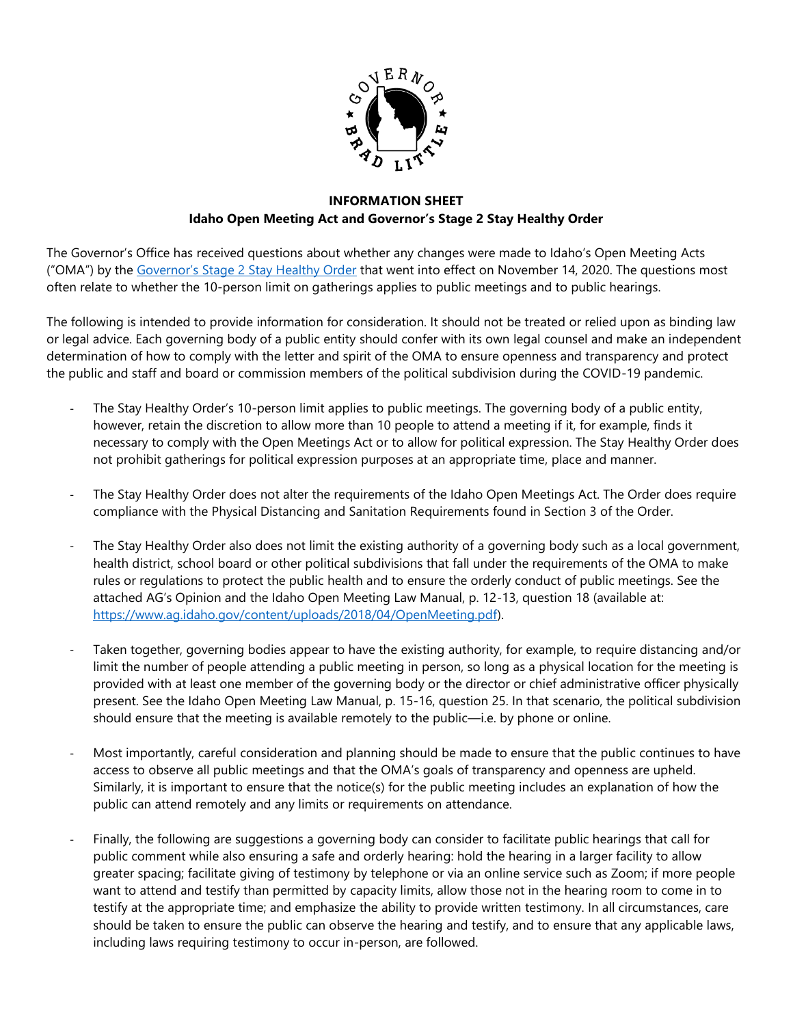

#### **INFORMATION SHEET Idaho Open Meeting Act and Governor's Stage 2 Stay Healthy Order**

The Governor's Office has received questions about whether any changes were made to Idaho's Open Meeting Acts ("OMA") by the [Governor's Stage 2 Stay Healthy Order](https://coronavirus.idaho.gov/idaho-resources/) that went into effect on November 14, 2020. The questions most often relate to whether the 10-person limit on gatherings applies to public meetings and to public hearings.

The following is intended to provide information for consideration. It should not be treated or relied upon as binding law or legal advice. Each governing body of a public entity should confer with its own legal counsel and make an independent determination of how to comply with the letter and spirit of the OMA to ensure openness and transparency and protect the public and staff and board or commission members of the political subdivision during the COVID-19 pandemic.

- The Stay Healthy Order's 10-person limit applies to public meetings. The governing body of a public entity, however, retain the discretion to allow more than 10 people to attend a meeting if it, for example, finds it necessary to comply with the Open Meetings Act or to allow for political expression. The Stay Healthy Order does not prohibit gatherings for political expression purposes at an appropriate time, place and manner.
- The Stay Healthy Order does not alter the requirements of the Idaho Open Meetings Act. The Order does require compliance with the Physical Distancing and Sanitation Requirements found in Section 3 of the Order.
- The Stay Healthy Order also does not limit the existing authority of a governing body such as a local government, health district, school board or other political subdivisions that fall under the requirements of the OMA to make rules or regulations to protect the public health and to ensure the orderly conduct of public meetings. See the attached AG's Opinion and the Idaho Open Meeting Law Manual, p. 12-13, question 18 (available at: [https://www.ag.idaho.gov/content/uploads/2018/04/OpenMeeting.pdf\)](https://www.ag.idaho.gov/content/uploads/2018/04/OpenMeeting.pdf).
- Taken together, governing bodies appear to have the existing authority, for example, to require distancing and/or limit the number of people attending a public meeting in person, so long as a physical location for the meeting is provided with at least one member of the governing body or the director or chief administrative officer physically present. See the Idaho Open Meeting Law Manual, p. 15-16, question 25. In that scenario, the political subdivision should ensure that the meeting is available remotely to the public—i.e. by phone or online.
- Most importantly, careful consideration and planning should be made to ensure that the public continues to have access to observe all public meetings and that the OMA's goals of transparency and openness are upheld. Similarly, it is important to ensure that the notice(s) for the public meeting includes an explanation of how the public can attend remotely and any limits or requirements on attendance.
- Finally, the following are suggestions a governing body can consider to facilitate public hearings that call for public comment while also ensuring a safe and orderly hearing: hold the hearing in a larger facility to allow greater spacing; facilitate giving of testimony by telephone or via an online service such as Zoom; if more people want to attend and testify than permitted by capacity limits, allow those not in the hearing room to come in to testify at the appropriate time; and emphasize the ability to provide written testimony. In all circumstances, care should be taken to ensure the public can observe the hearing and testify, and to ensure that any applicable laws, including laws requiring testimony to occur in-person, are followed.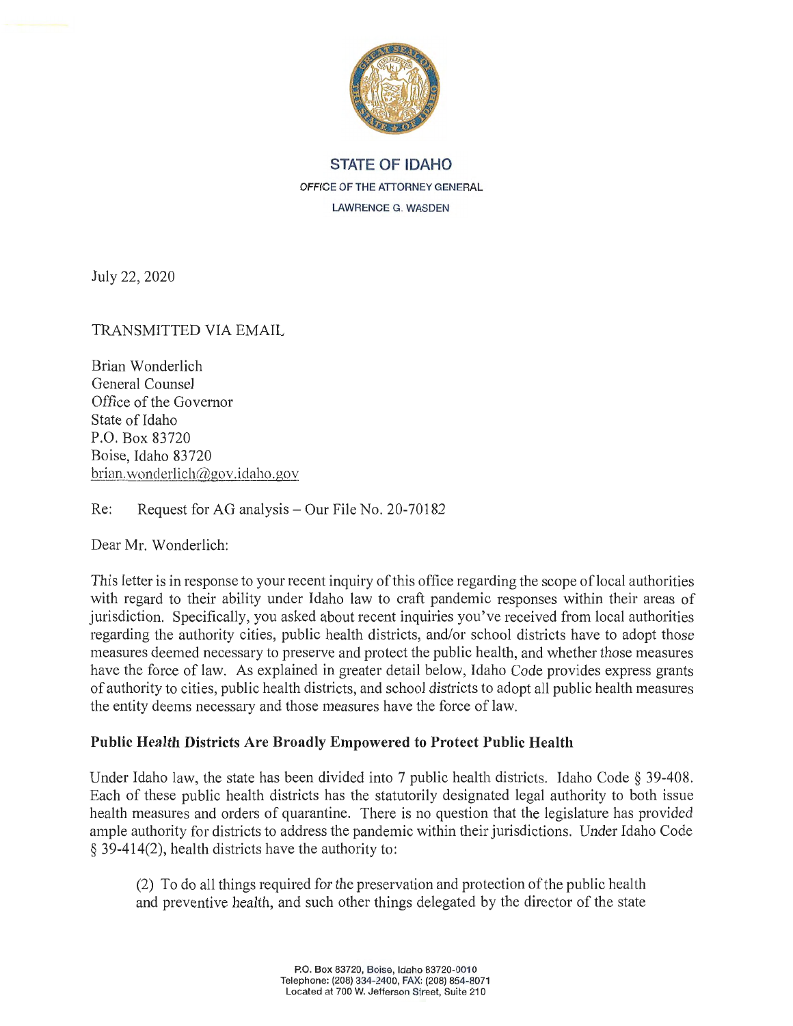

# **STATE OF IDAHO OFFICE OF THE ATTORNEY GENERAL LAWRENCE G. WASDEN**

July 22, 2020

TRANSMITTED VIA EMAIL

Brian Wonderlich General Counsel Office of the Governor State of Idaho P.O. Box 83720 Boise, Idaho 83720 brian. wonderlich $@gov$ . idaho .gov

Re: Request for AG analysis – Our File No. 20-70182

Dear Mr. Wonderlich:

This letter is in response to your recent inquiry of this office regarding the scope oflocal authorities with regard to their ability under Idaho law to craft pandemic responses within their areas of jurisdiction. Specifically, you asked about recent inquiries you've received from local authorities regarding the authority cities, public health districts, and/or school districts have to adopt those measures deemed necessary to preserve and protect the public health, and whether those measures have the force of law. As explained in greater detail below, Idaho Code provides express grants of authority to cities, public health districts, and school districts to adopt all public health measures the entity deems necessary and those measures have the force of law.

## **Public Health Districts Are Broadly Empowered to Protect Public Health**

Under Idaho law, the state has been divided into 7 public health districts. Idaho Code  $\S$  39-408. Each of these public health districts has the statutorily designated legal authority to both issue health measures and orders of quarantine. There is no question that the legislature has provided ample authority for districts to address the pandemic within their jurisdictions. Under Idaho Code § 39-414(2), health districts have the authority to:

(2) To do all things required for the preservation and protection of the public health and preventive health, and such other things delegated by the director of the state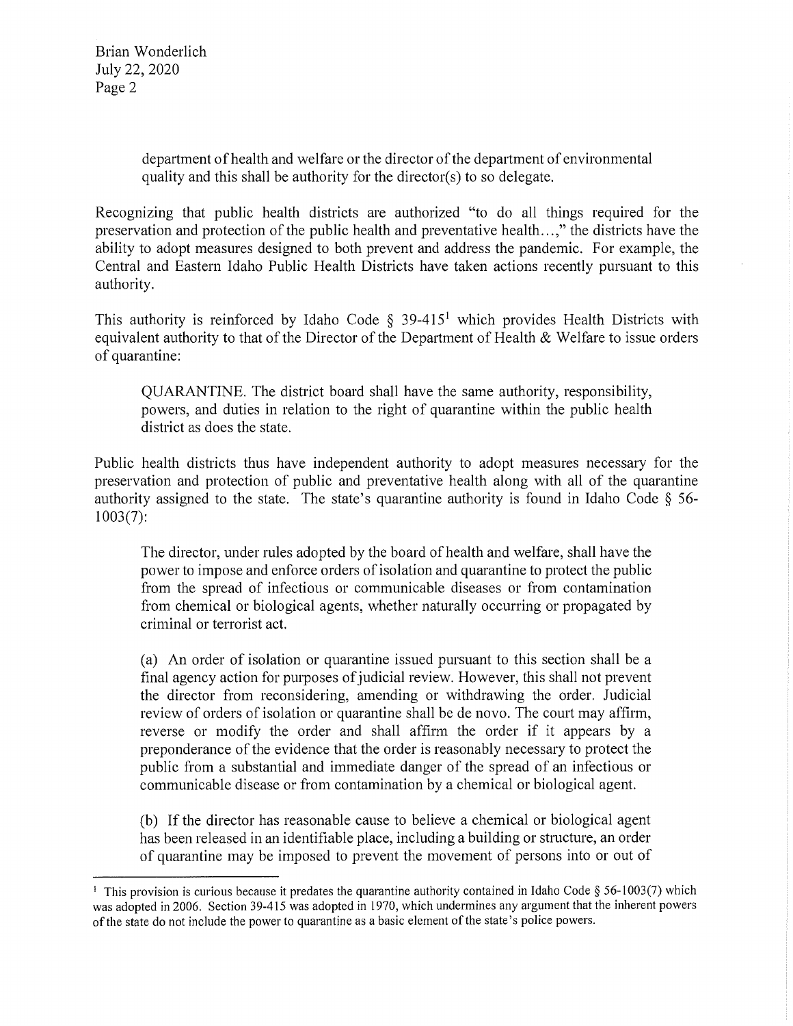Brian Wonderlich July 22, 2020 Page 2

> department of health and welfare or the director of the department of environmental quality and this shall be authority for the director(s) to so delegate.

Recognizing that public health districts are authorized "to do all things required for the preservation and protection of the public health and preventative health ... ," the districts have the ability to adopt measures designed to both prevent and address the pandemic. For example, the Central and Eastern Idaho Public Health Districts have taken actions recently pursuant to this authority.

This authority is reinforced by Idaho Code  $\S$  39-415<sup>1</sup> which provides Health Districts with equivalent authority to that of the Director of the Department of Health  $&$  Welfare to issue orders of quarantine:

QUARANTINE. The district board shall have the same authority, responsibility, powers, and duties in relation to the right of quarantine within the public health district as does the state.

Public health districts thus have independent authority to adopt measures necessary for the preservation and protection of public and preventative health along with all of the quarantine authority assigned to the state. The state's quarantine authority is found in Idaho Code § 56- 1003(7):

The director, under rules adopted by the board of health and welfare, shall have the power to impose and enforce orders of isolation and quarantine to protect the public from the spread of infectious or communicable diseases or from contamination from chemical or biological agents, whether naturally occurring or propagated by criminal or terrorist act.

(a) An order of isolation or quarantine issued pursuant to this section shall be a final agency action for purposes of judicial review. However, this shall not prevent the director from reconsidering, amending or withdrawing the order. Judicial review of orders of isolation or quarantine shall be de novo. The court may affirm, reverse or modify the order and shall affirm the order if it appears by a preponderance of the evidence that the order is reasonably necessary to protect the public from a substantial and immediate danger of the spread of an infectious or communicable disease or from contamination by a chemical or biological agent.

(b) If the director has reasonable cause to believe a chemical or biological agent has been released in an identifiable place, including a building or structure, an order of quarantine may be imposed to prevent the movement of persons into or out of

<sup>&</sup>lt;sup>1</sup> This provision is curious because it predates the quarantine authority contained in Idaho Code § 56-1003(7) which was adopted in 2006. Section 39-415 was adopted in 1970, which undermines any argument that the inherent powers of the state do not include the power to quarantine as a basic element of the state's police powers.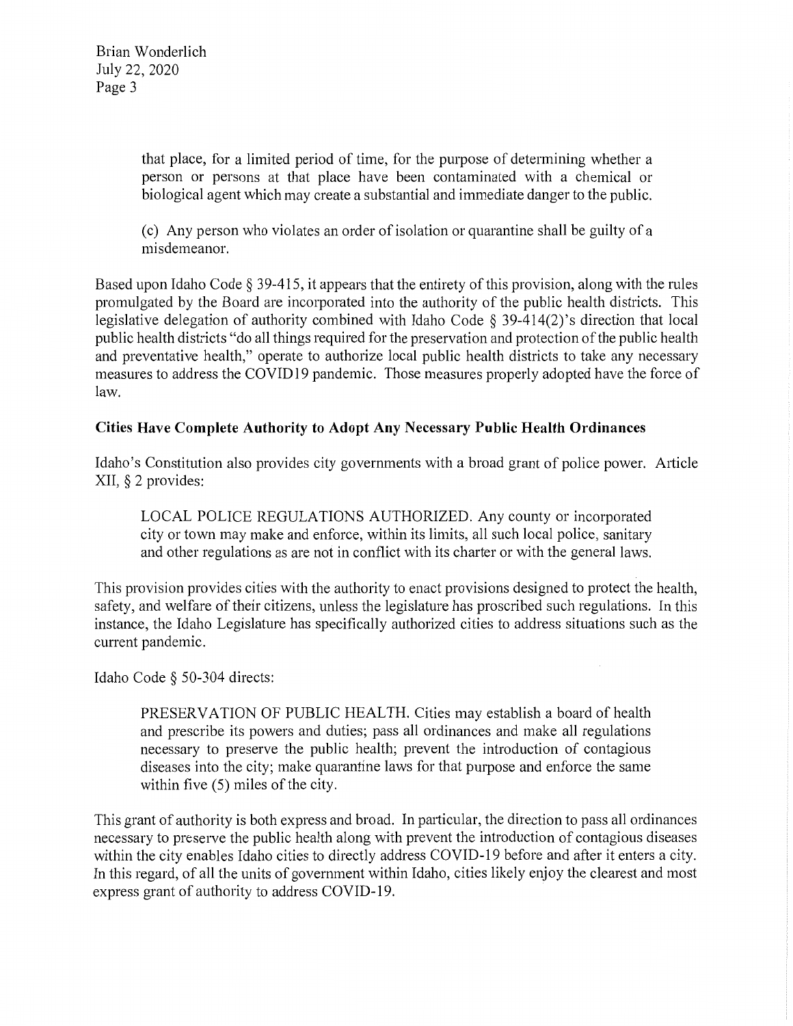that place, for a limited period of time, for the purpose of determining whether a person or persons at that place have been contaminated with a chemical or biological agent which may create a substantial and immediate danger to the public.

( c) Any person who violates an order of isolation or quarantine shall be guilty of a misdemeanor.

Based upon Idaho Code§ 39-415, it appears that the entirety of this provision, along with the rules promulgated by the Board are incorporated into the authority of the public health districts. This legislative delegation of authority combined with Idaho Code§ 39-414(2)'s direction that local public health districts "do all things required for the preservation and protection of the public health and preventative health," operate to authorize local public health districts to take any necessary measures to address the COVID 19 pandemic. Those measures properly adopted have the force of law.

## **Cities Have Complete Authority to Adopt Any Necessary Public Health Ordinances**

Idaho's Constitution also provides city governments with a broad grant of police power. Article XII, § 2 provides:

LOCAL POLICE REGULATIONS AUTHORIZED. Any county or incorporated city or town may make and enforce, within its limits, all such local police, sanitary and other regulations as are not in conflict with its charter or with the general laws.

This provision provides cities with the authority to enact provisions designed to protect the health, safety, and welfare of their citizens, unless the legislature has proscribed such regulations. In this instance, the Idaho Legislature has specifically authorized cities to address situations such as the current pandemic.

Idaho Code § 50-304 directs:

PRESERVATION OF PUBLIC HEALTH. Cities may establish a board of health and prescribe its powers and duties; pass all ordinances and make all regulations necessary to preserve the public health; prevent the introduction of contagious diseases into the city; make quarantine laws for that purpose and enforce the same within five (5) miles of the city.

This grant of authority is both express and broad. In particular, the direction to pass all ordinances necessary to preserve the public health along with prevent the introduction of contagious diseases within the city enables Idaho cities to directly address COVID-19 before and after it enters a city. In this regard, of all the units of government within Idaho, cities likely enjoy the clearest and most express grant of authority to address COVID-19.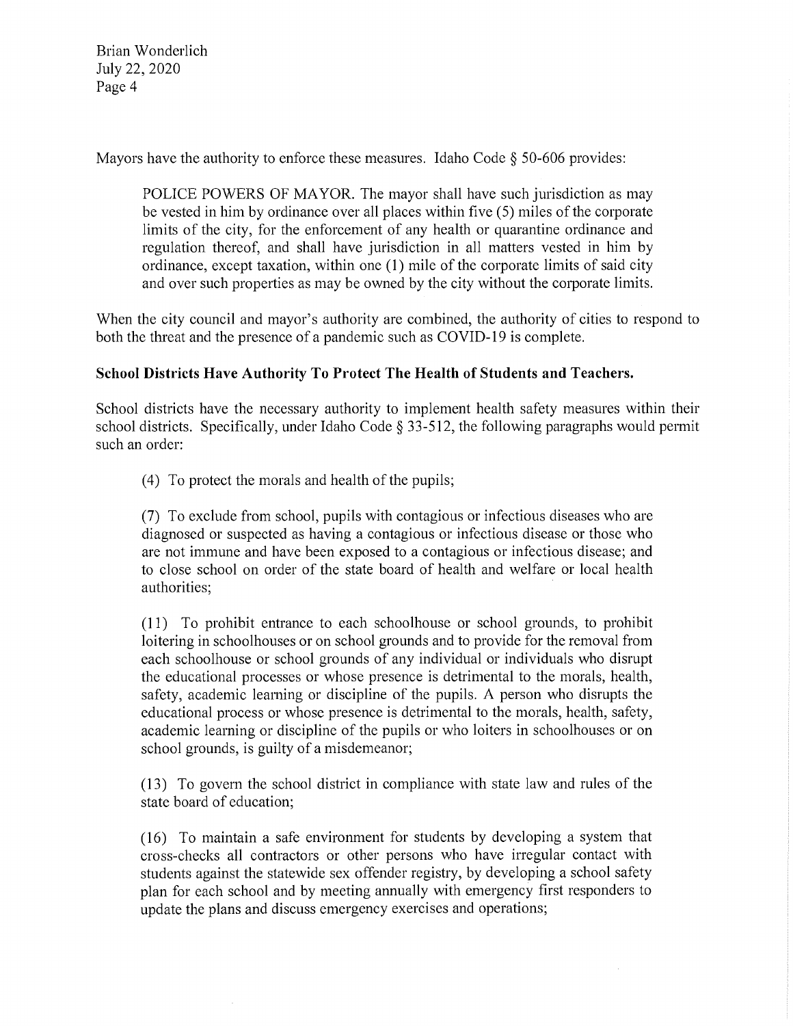Brian Wonderlich July 22, 2020 Page 4

Mayors have the authority to enforce these measures. Idaho Code  $\S$  50-606 provides:

POLICE POWERS OF MAYOR. The mayor shall have such jurisdiction as may be vested in him by ordinance over all places within five (5) miles of the corporate limits of the city, for the enforcement of any health or quarantine ordinance and regulation thereof, and shall have jurisdiction in all matters vested in him by ordinance, except taxation, within one (1) mile of the corporate limits of said city and over such properties as may be owned by the city without the corporate limits.

When the city council and mayor's authority are combined, the authority of cities to respond to both the threat and the presence of a pandemic such as COVID-19 is complete.

#### **School Districts Have Authority To Protect The Health of Students and Teachers.**

School districts have the necessary authority to implement health safety measures within their school districts. Specifically, under Idaho Code § 33-512, the following paragraphs would permit such an order:

(4) To protect the morals and health of the pupils;

(7) To exclude from school, pupils with contagious or infectious diseases who are diagnosed or suspected as having a contagious or infectious disease or those who are not immune and have been exposed to a contagious or infectious disease; and to close school on order of the state board of health and welfare or local health authorities;

(11) To prohibit entrance to each schoolhouse or school grounds, to prohibit loitering in schoolhouses or on school grounds and to provide for the removal from each schoolhouse or school grounds of any individual or individuals who disrupt the educational processes or whose presence is detrimental to the morals, health, safety, academic learning or discipline of the pupils. A person who disrupts the educational process or whose presence is detrimental to the morals, health, safety, academic learning or discipline of the pupils or who loiters in schoolhouses or on school grounds, is guilty of a misdemeanor;

(13) To govern the school district in compliance with state law and rules of the state board of education;

(16) To maintain a safe environment for students by developing a system that cross-checks all contractors or other persons who have irregular contact with students against the statewide sex offender registry, by developing a school safety plan for each school and by meeting annually with emergency first responders to update the plans and discuss emergency exercises and operations;